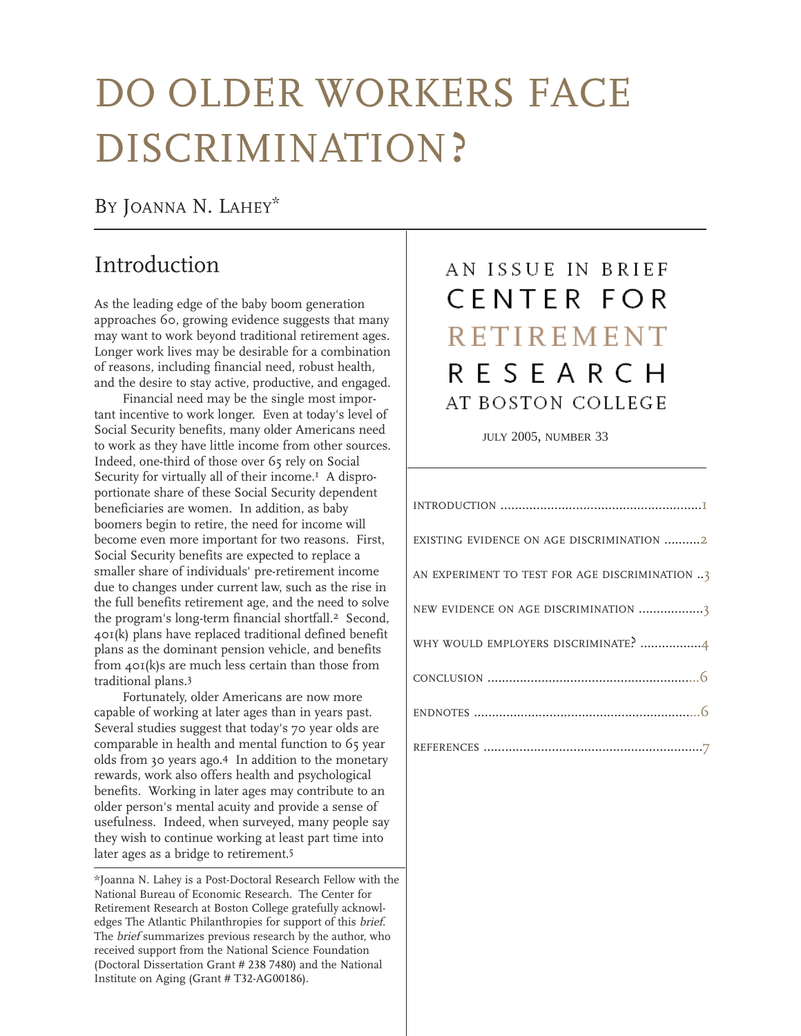# DO OLDER WORKERS FACE DISCRIMINATION?

BY JOANNA N. LAHEY\*

## Introduction

As the leading edge of the baby boom generation approaches 60, growing evidence suggests that many may want to work beyond traditional retirement ages. Longer work lives may be desirable for a combination of reasons, including financial need, robust health, and the desire to stay active, productive, and engaged.

, become even more important for two reasons. First the full benefits retirement age, and the need to solve the program's long-term financial shortfall.<sup>2</sup> Second, 401(k) plans have replaced traditional defined benefit Financial need may be the single most important incentive to work longer. Even at today's level of Social Security benefits, many older Americans need to work as they have little income from other sources. Indeed, one-third of those over 65 rely on Social Security for virtually all of their income.<sup>1</sup> A disproportionate share of these Social Security dependent beneficiaries are women. In addition, as baby boomers begin to retire, the need for income will Social Security benefits are expected to replace a smaller share of individuals' pre-retirement income due to changes under current law, such as the rise in plans as the dominant pension vehicle, and benefits from 401(k)s are much less certain than those from traditional plans.3

olds from 30 years ago.4 In addition to the monetary usefulness. Indeed, when surveyed, many people say Fortunately, older Americans are now more capable of working at later ages than in years past. Several studies suggest that today's 70 year olds are comparable in health and mental function to 65 year rewards, work also offers health and psychological benefits. Working in later ages may contribute to an older person's mental acuity and provide a sense of they wish to continue working at least part time into later ages as a bridge to retirement.5

e \*Joanna N. Lahey is a Post-Doctoral Research Fellow with th National Bureau of Economic Research. The Center for Retirement Research at Boston College gratefully acknowledges The Atlantic Philanthropies for support of this brief. The brief summarizes previous research by the author, who received support from the National Science Foundation (Doctoral Dissertation Grant # 238 7480) and the National Institute on Aging (Grant # T32-AG00186).

# AN ISSUE IN BRIEF CENTER FOR **RETIREMENT** RESEARCH AT BOSTON COLLEGE

JULY 2005, NUMBER 33

| EXISTING EVIDENCE ON AGE DISCRIMINATION 2      |
|------------------------------------------------|
| AN EXPERIMENT TO TEST FOR AGE DISCRIMINATION 3 |
| NEW EVIDENCE ON AGE DISCRIMINATION 3           |
| WHY WOULD EMPLOYERS DISCRIMINATE? 4            |
|                                                |
|                                                |
|                                                |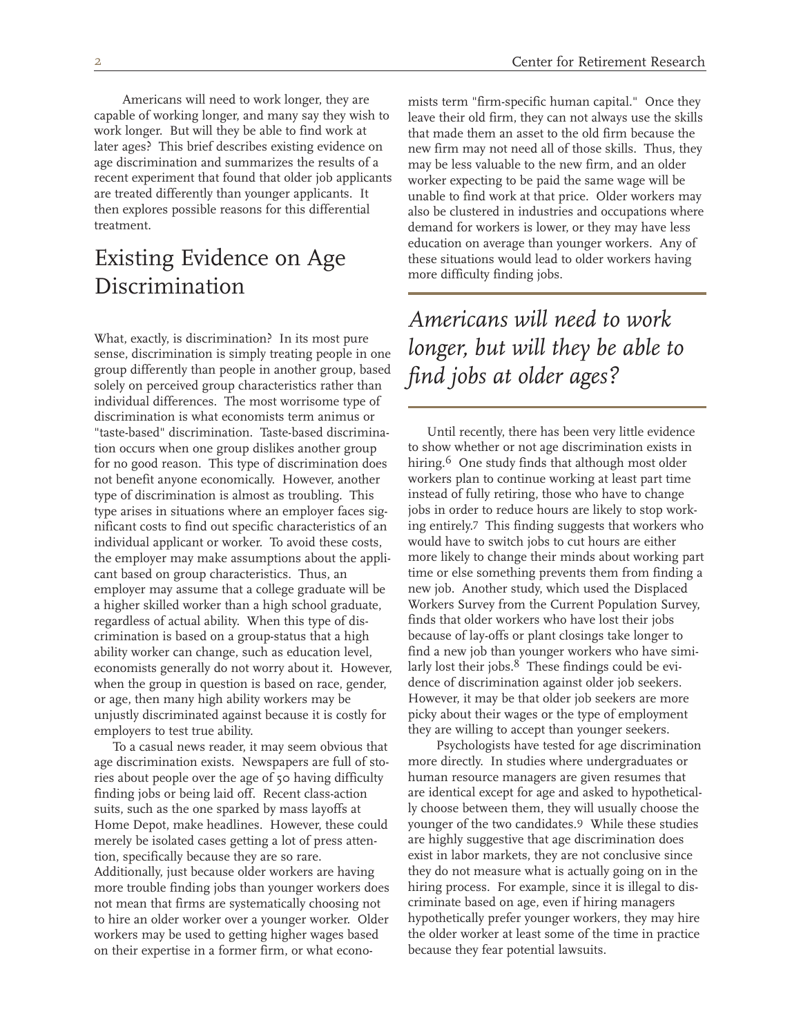Americans will need to work longer, they are capable of working longer, and many say they wish to work longer. But will they be able to find work at later ages? This brief describes existing evidence on age discrimination and summarizes the results of a recent experiment that found that older job applicants are treated differently than younger applicants. It then explores possible reasons for this differential treatment.

### Existing Evidence on Age Discrimination

What, exactly, is discrimination? In its most pure sense, discrimination is simply treating people in one group differently than people in another group, based solely on perceived group characteristics rather than individual differences. The most worrisome type of discrimination is what economists term animus or "taste-based" discrimination. Taste-based discrimination occurs when one group dislikes another group for no good reason. This type of discrimination does not benefit anyone economically. However, another type of discrimination is almost as troubling. This type arises in situations where an employer faces significant costs to find out specific characteristics of an individual applicant or worker. To avoid these costs, the employer may make assumptions about the applicant based on group characteristics. Thus, an employer may assume that a college graduate will be a higher skilled worker than a high school graduate, regardless of actual ability. When this type of discrimination is based on a group-status that a high ability worker can change, such as education level, economists generally do not worry about it. However, when the group in question is based on race, gender, or age, then many high ability workers may be unjustly discriminated against because it is costly for employers to test true ability.

To a casual news reader, it may seem obvious that age discrimination exists. Newspapers are full of stories about people over the age of 50 having difficulty finding jobs or being laid off. Recent class-action suits, such as the one sparked by mass layoffs at Home Depot, make headlines. However, these could merely be isolated cases getting a lot of press attention, specifically because they are so rare. Additionally, just because older workers are having more trouble finding jobs than younger workers does not mean that firms are systematically choosing not to hire an older worker over a younger worker. Older workers may be used to getting higher wages based on their expertise in a former firm, or what economists term "firm-specific human capital." Once they leave their old firm, they can not always use the skills that made them an asset to the old firm because the new firm may not need all of those skills. Thus, they may be less valuable to the new firm, and an older worker expecting to be paid the same wage will be unable to find work at that price. Older workers may also be clustered in industries and occupations where demand for workers is lower, or they may have less education on average than younger workers. Any of these situations would lead to older workers having more difficulty finding jobs.

# *Americans will need to work longer, but will they be able to find jobs at older ages?*

Until recently, there has been very little evidence to show whether or not age discrimination exists in hiring.<sup>6</sup> One study finds that although most older workers plan to continue working at least part time instead of fully retiring, those who have to change jobs in order to reduce hours are likely to stop working entirely.7 This finding suggests that workers who would have to switch jobs to cut hours are either more likely to change their minds about working part time or else something prevents them from finding a new job. Another study, which used the Displaced Workers Survey from the Current Population Survey, finds that older workers who have lost their jobs because of lay-offs or plant closings take longer to find a new job than younger workers who have similarly lost their jobs. $8$  These findings could be evidence of discrimination against older job seekers. However, it may be that older job seekers are more picky about their wages or the type of employment they are willing to accept than younger seekers.

Psychologists have tested for age discrimination more directly. In studies where undergraduates or human resource managers are given resumes that are identical except for age and asked to hypothetically choose between them, they will usually choose the younger of the two candidates.9 While these studies are highly suggestive that age discrimination does exist in labor markets, they are not conclusive since they do not measure what is actually going on in the hiring process. For example, since it is illegal to discriminate based on age, even if hiring managers hypothetically prefer younger workers, they may hire the older worker at least some of the time in practice because they fear potential lawsuits.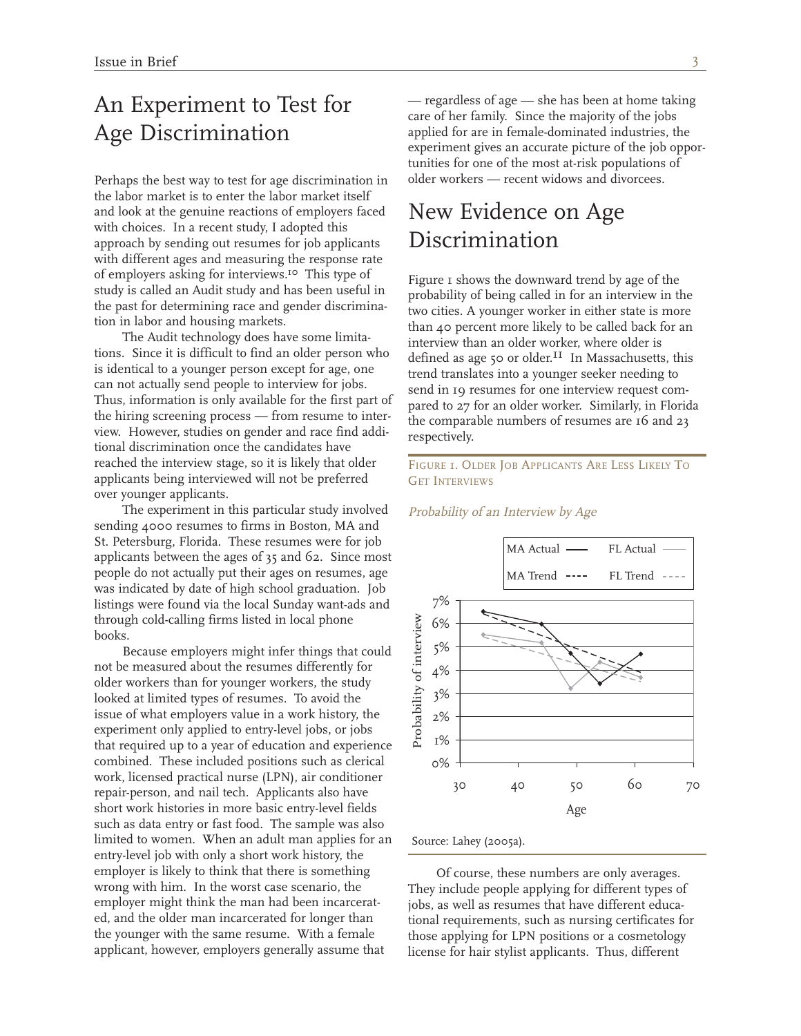### An Experiment to Test for Age Discrimination

Perhaps the best way to test for age discrimination in the labor market is to enter the labor market itself and look at the genuine reactions of employers faced with choices. In a recent study, I adopted this approach by sending out resumes for job applicants with different ages and measuring the response rate of employers asking for interviews.10 This type of study is called an Audit study and has been useful in the past for determining race and gender discrimination in labor and housing markets.

The Audit technology does have some limitations. Since it is difficult to find an older person who is identical to a younger person except for age, one can not actually send people to interview for jobs. Thus, information is only available for the first part of the hiring screening process — from resume to interview. However, studies on gender and race find additional discrimination once the candidates have reached the interview stage, so it is likely that older applicants being interviewed will not be preferred over younger applicants.

The experiment in this particular study involved sending 4000 resumes to firms in Boston, MA and St. Petersburg, Florida. These resumes were for job applicants between the ages of 35 and 62. Since most people do not actually put their ages on resumes, age was indicated by date of high school graduation. Job listings were found via the local Sunday want-ads and through cold-calling firms listed in local phone books.

Because employers might infer things that could not be measured about the resumes differently for older workers than for younger workers, the study looked at limited types of resumes. To avoid the issue of what employers value in a work history, the experiment only applied to entry-level jobs, or jobs that required up to a year of education and experience combined. These included positions such as clerical work, licensed practical nurse (LPN), air conditioner repair-person, and nail tech. Applicants also have short work histories in more basic entry-level fields such as data entry or fast food. The sample was also limited to women. When an adult man applies for an entry-level job with only a short work history, the employer is likely to think that there is something wrong with him. In the worst case scenario, the employer might think the man had been incarcerated, and the older man incarcerated for longer than the younger with the same resume. With a female applicant, however, employers generally assume that

— regardless of age — she has been at home taking care of her family. Since the majority of the jobs applied for are in female-dominated industries, the experiment gives an accurate picture of the job opportunities for one of the most at-risk populations of older workers — recent widows and divorcees.

### New Evidence on Age Discrimination

Figure 1 shows the downward trend by age of the probability of being called in for an interview in the two cities. A younger worker in either state is more than 40 percent more likely to be called back for an interview than an older worker, where older is defined as age 50 or older.<sup>II</sup> In Massachusetts, this trend translates into a younger seeker needing to send in 19 resumes for one interview request compared to 27 for an older worker. Similarly, in Florida the comparable numbers of resumes are 16 and 23 respectively.

FIGURE 1. OLDER JOB APPLICANTS ARE LESS LIKELY TO GET INTERVIEWS



#### Probability of an Interview by Age

#### Source: Lahey (2005a).

Of course, these numbers are only averages. They include people applying for different types of jobs, as well as resumes that have different educational requirements, such as nursing certificates for those applying for LPN positions or a cosmetology license for hair stylist applicants. Thus, different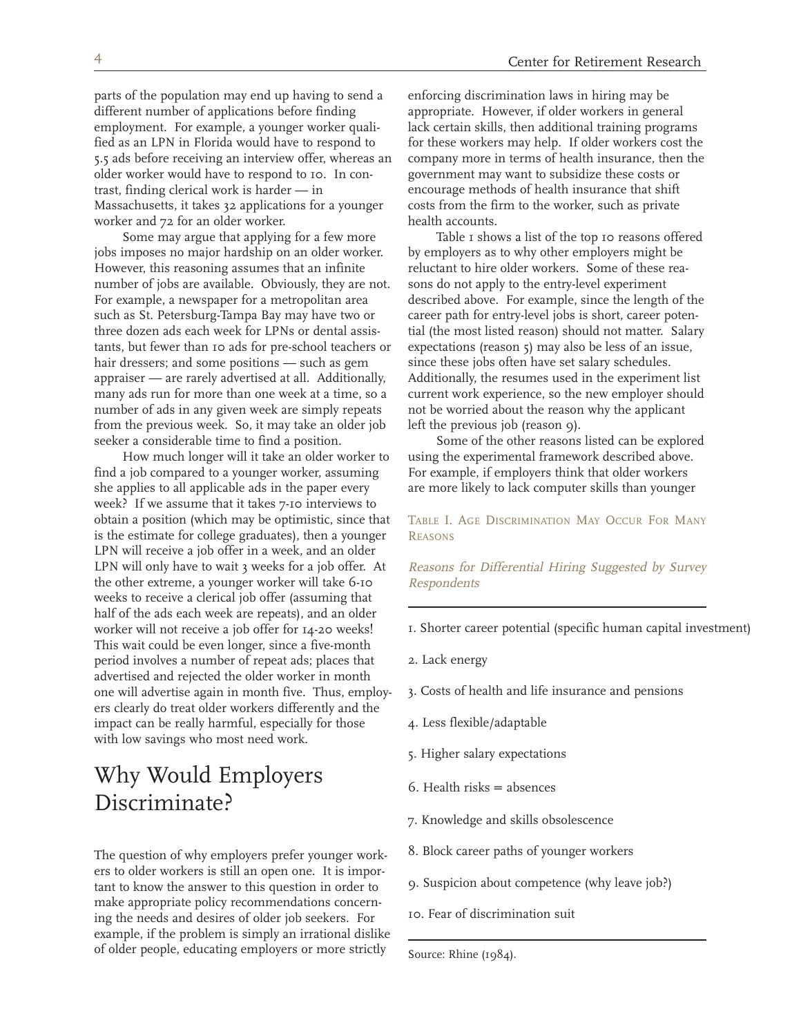parts of the population may end up having to send a different number of applications before finding employment. For example, a younger worker qualified as an LPN in Florida would have to respond to 5.5 ads before receiving an interview offer, whereas an older worker would have to respond to 10. In contrast, finding clerical work is harder — in Massachusetts, it takes 32 applications for a younger worker and 72 for an older worker.

Some may argue that applying for a few more jobs imposes no major hardship on an older worker. However, this reasoning assumes that an infinite number of jobs are available. Obviously, they are not. For example, a newspaper for a metropolitan area such as St. Petersburg-Tampa Bay may have two or three dozen ads each week for LPNs or dental assistants, but fewer than 10 ads for pre-school teachers or hair dressers; and some positions — such as gem appraiser — are rarely advertised at all. Additionally, many ads run for more than one week at a time, so a number of ads in any given week are simply repeats from the previous week. So, it may take an older job seeker a considerable time to find a position.

How much longer will it take an older worker to find a job compared to a younger worker, assuming she applies to all applicable ads in the paper every week? If we assume that it takes 7-10 interviews to obtain a position (which may be optimistic, since that is the estimate for college graduates), then a younger LPN will receive a job offer in a week, and an older LPN will only have to wait 3 weeks for a job offer. At the other extreme, a younger worker will take 6-10 weeks to receive a clerical job offer (assuming that half of the ads each week are repeats), and an older worker will not receive a job offer for 14-20 weeks! This wait could be even longer, since a five-month period involves a number of repeat ads; places that advertised and rejected the older worker in month one will advertise again in month five. Thus, employers clearly do treat older workers differently and the impact can be really harmful, especially for those with low savings who most need work.

### Why Would Employers Discriminate?

The question of why employers prefer younger workers to older workers is still an open one. It is important to know the answer to this question in order to make appropriate policy recommendations concerning the needs and desires of older job seekers. For example, if the problem is simply an irrational dislike of older people, educating employers or more strictly

enforcing discrimination laws in hiring may be appropriate. However, if older workers in general lack certain skills, then additional training programs for these workers may help. If older workers cost the company more in terms of health insurance, then the government may want to subsidize these costs or encourage methods of health insurance that shift costs from the firm to the worker, such as private health accounts.

Table 1 shows a list of the top 10 reasons offered by employers as to why other employers might be reluctant to hire older workers. Some of these reasons do not apply to the entry-level experiment described above. For example, since the length of the career path for entry-level jobs is short, career potential (the most listed reason) should not matter. Salary expectations (reason 5) may also be less of an issue, since these jobs often have set salary schedules. Additionally, the resumes used in the experiment list current work experience, so the new employer should not be worried about the reason why the applicant left the previous job (reason 9).

Some of the other reasons listed can be explored using the experimental framework described above. For example, if employers think that older workers are more likely to lack computer skills than younger

TABLE I. AGE DISCRIMINATION MAY OCCUR FOR MANY REASONS

#### Reasons for Differential Hiring Suggested by Survey Respondents

- 1. Shorter career potential (specific human capital investment)
- 2. Lack energy
- 3. Costs of health and life insurance and pensions
- 4. Less flexible/adaptable
- 5. Higher salary expectations
- 6. Health risks = absences
- 7. Knowledge and skills obsolescence
- 8. Block career paths of younger workers
- 9. Suspicion about competence (why leave job?)
- 10. Fear of discrimination suit

Source: Rhine (1984).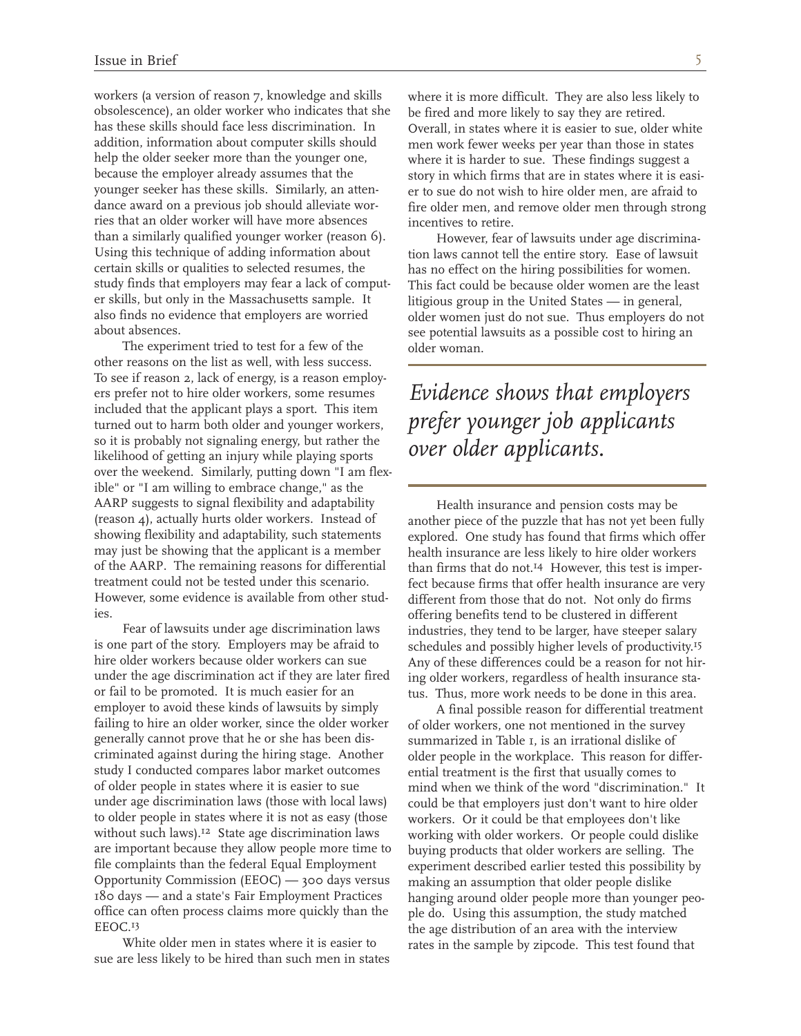workers (a version of reason 7, knowledge and skills obsolescence), an older worker who indicates that she has these skills should face less discrimination. In addition, information about computer skills should help the older seeker more than the younger one, because the employer already assumes that the younger seeker has these skills. Similarly, an attendance award on a previous job should alleviate worries that an older worker will have more absences than a similarly qualified younger worker (reason 6). Using this technique of adding information about certain skills or qualities to selected resumes, the study finds that employers may fear a lack of computer skills, but only in the Massachusetts sample. It also finds no evidence that employers are worried about absences.

The experiment tried to test for a few of the other reasons on the list as well, with less success. To see if reason 2, lack of energy, is a reason employers prefer not to hire older workers, some resumes included that the applicant plays a sport. This item turned out to harm both older and younger workers, so it is probably not signaling energy, but rather the likelihood of getting an injury while playing sports over the weekend. Similarly, putting down "I am flexible" or "I am willing to embrace change," as the AARP suggests to signal flexibility and adaptability (reason 4), actually hurts older workers. Instead of showing flexibility and adaptability, such statements may just be showing that the applicant is a member of the AARP. The remaining reasons for differential treatment could not be tested under this scenario. However, some evidence is available from other studies.

Fear of lawsuits under age discrimination laws is one part of the story. Employers may be afraid to hire older workers because older workers can sue under the age discrimination act if they are later fired or fail to be promoted. It is much easier for an employer to avoid these kinds of lawsuits by simply failing to hire an older worker, since the older worker generally cannot prove that he or she has been discriminated against during the hiring stage. Another study I conducted compares labor market outcomes of older people in states where it is easier to sue under age discrimination laws (those with local laws) to older people in states where it is not as easy (those without such laws).<sup>12</sup> State age discrimination laws are important because they allow people more time to file complaints than the federal Equal Employment Opportunity Commission (EEOC) — 300 days versus 180 days — and a state's Fair Employment Practices office can often process claims more quickly than the EEOC.<sub>13</sub>

White older men in states where it is easier to sue are less likely to be hired than such men in states

where it is more difficult. They are also less likely to be fired and more likely to say they are retired. Overall, in states where it is easier to sue, older white men work fewer weeks per year than those in states where it is harder to sue. These findings suggest a story in which firms that are in states where it is easier to sue do not wish to hire older men, are afraid to fire older men, and remove older men through strong incentives to retire.

However, fear of lawsuits under age discrimination laws cannot tell the entire story. Ease of lawsuit has no effect on the hiring possibilities for women. This fact could be because older women are the least litigious group in the United States — in general, older women just do not sue. Thus employers do not see potential lawsuits as a possible cost to hiring an older woman.

# *Evidence shows that employers prefer younger job applicants over older applicants.*

Health insurance and pension costs may be another piece of the puzzle that has not yet been fully explored. One study has found that firms which offer health insurance are less likely to hire older workers than firms that do not.<sup>14</sup> However, this test is imperfect because firms that offer health insurance are very different from those that do not. Not only do firms offering benefits tend to be clustered in different industries, they tend to be larger, have steeper salary schedules and possibly higher levels of productivity.15 Any of these differences could be a reason for not hiring older workers, regardless of health insurance status. Thus, more work needs to be done in this area.

A final possible reason for differential treatment of older workers, one not mentioned in the survey summarized in Table 1, is an irrational dislike of older people in the workplace. This reason for differential treatment is the first that usually comes to mind when we think of the word "discrimination." It could be that employers just don't want to hire older workers. Or it could be that employees don't like working with older workers. Or people could dislike buying products that older workers are selling. The experiment described earlier tested this possibility by making an assumption that older people dislike hanging around older people more than younger people do. Using this assumption, the study matched the age distribution of an area with the interview rates in the sample by zipcode. This test found that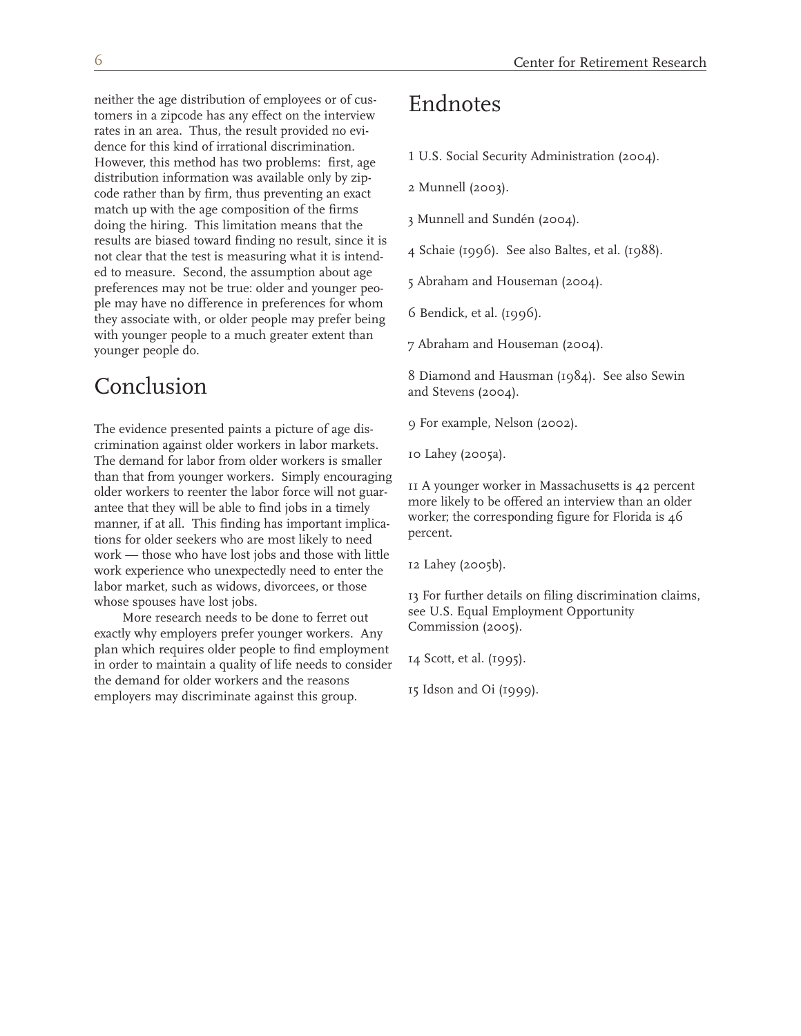neither the age distribution of employees or of customers in a zipcode has any effect on the interview rates in an area. Thus, the result provided no evidence for this kind of irrational discrimination. However, this method has two problems: first, age distribution information was available only by zipcode rather than by firm, thus preventing an exact match up with the age composition of the firms doing the hiring. This limitation means that the results are biased toward finding no result, since it is not clear that the test is measuring what it is intended to measure. Second, the assumption about age preferences may not be true: older and younger people may have no difference in preferences for whom they associate with, or older people may prefer being with younger people to a much greater extent than younger people do.

### Conclusion

The evidence presented paints a picture of age discrimination against older workers in labor markets. The demand for labor from older workers is smaller than that from younger workers. Simply encouraging older workers to reenter the labor force will not guarantee that they will be able to find jobs in a timely manner, if at all. This finding has important implications for older seekers who are most likely to need work — those who have lost jobs and those with little work experience who unexpectedly need to enter the labor market, such as widows, divorcees, or those whose spouses have lost jobs.

More research needs to be done to ferret out exactly why employers prefer younger workers. Any plan which requires older people to find employment in order to maintain a quality of life needs to consider the demand for older workers and the reasons employers may discriminate against this group.

### Endnotes

- 1 U.S. Social Security Administration (2004).
- 2 Munnell (2003).
- 3 Munnell and Sundén (2004).
- 4 Schaie (1996). See also Baltes, et al. (1988).
- 5 Abraham and Houseman (2004).
- 6 Bendick, et al. (1996).
- 7 Abraham and Houseman (2004).

8 Diamond and Hausman (1984). See also Sewin and Stevens (2004).

9 For example, Nelson (2002).

10 Lahey (2005a).

11 A younger worker in Massachusetts is 42 percent more likely to be offered an interview than an older worker; the corresponding figure for Florida is 46 percent.

12 Lahey (2005b).

13 For further details on filing discrimination claims, see U.S. Equal Employment Opportunity Commission (2005).

14 Scott, et al. (1995).

15 Idson and Oi (1999).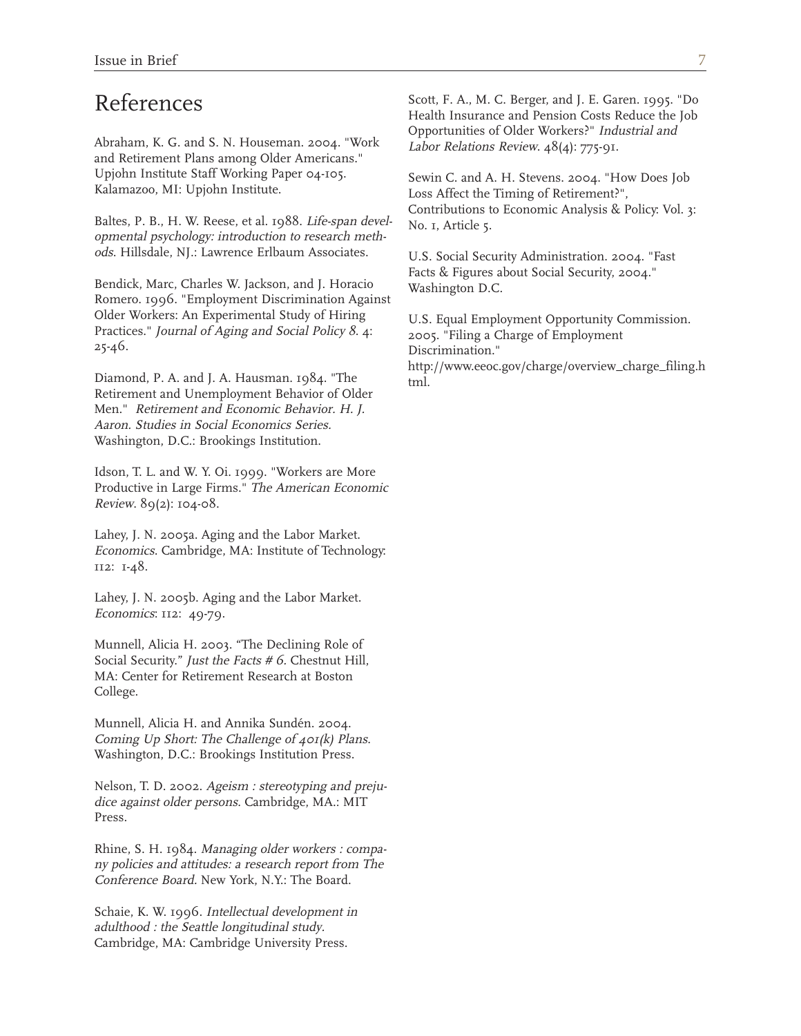### References

Abraham, K. G. and S. N. Houseman. 2004. "Work and Retirement Plans among Older Americans." Upjohn Institute Staff Working Paper 04-105. Kalamazoo, MI: Upjohn Institute.

Baltes, P. B., H. W. Reese, et al. 1988. Life-span developmental psychology: introduction to research methods. Hillsdale, NJ.: Lawrence Erlbaum Associates.

Bendick, Marc, Charles W. Jackson, and J. Horacio Romero. 1996. "Employment Discrimination Against Older Workers: An Experimental Study of Hiring Practices." Journal of Aging and Social Policy 8. 4: 25-46.

Diamond, P. A. and J. A. Hausman. 1984. "The Retirement and Unemployment Behavior of Older Men." Retirement and Economic Behavior. H. J. Aaron. Studies in Social Economics Series. Washington, D.C.: Brookings Institution.

Idson, T. L. and W. Y. Oi. 1999. "Workers are More Productive in Large Firms." The American Economic Review. 89(2): 104-08.

Lahey, J. N. 2005a. Aging and the Labor Market. Economics. Cambridge, MA: Institute of Technology: 112: 1-48.

Lahey, J. N. 2005b. Aging and the Labor Market. Economics: 112: 49-79.

Munnell, Alicia H. 2003. "The Declining Role of Social Security." Just the Facts # 6. Chestnut Hill, MA: Center for Retirement Research at Boston College.

Munnell, Alicia H. and Annika Sundén. 2004. Coming Up Short: The Challenge of 401(k) Plans. Washington, D.C.: Brookings Institution Press.

Nelson, T. D. 2002. Ageism : stereotyping and prejudice against older persons. Cambridge, MA.: MIT Press.

Rhine, S. H. 1984. Managing older workers : company policies and attitudes: a research report from The Conference Board. New York, N.Y.: The Board.

Schaie, K. W. 1996. Intellectual development in adulthood : the Seattle longitudinal study. Cambridge, MA: Cambridge University Press.

Scott, F. A., M. C. Berger, and J. E. Garen. 1995. "Do Health Insurance and Pension Costs Reduce the Job Opportunities of Older Workers?" Industrial and Labor Relations Review. 48(4): 775-91.

Sewin C. and A. H. Stevens. 2004. "How Does Job Loss Affect the Timing of Retirement?", Contributions to Economic Analysis & Policy: Vol. 3: No. I, Article 5.

U.S. Social Security Administration. 2004. "Fast Facts & Figures about Social Security, 2004." Washington D.C.

U.S. Equal Employment Opportunity Commission. 2005. "Filing a Charge of Employment Discrimination." http://www.eeoc.gov/charge/overview\_charge\_filing.h tml.